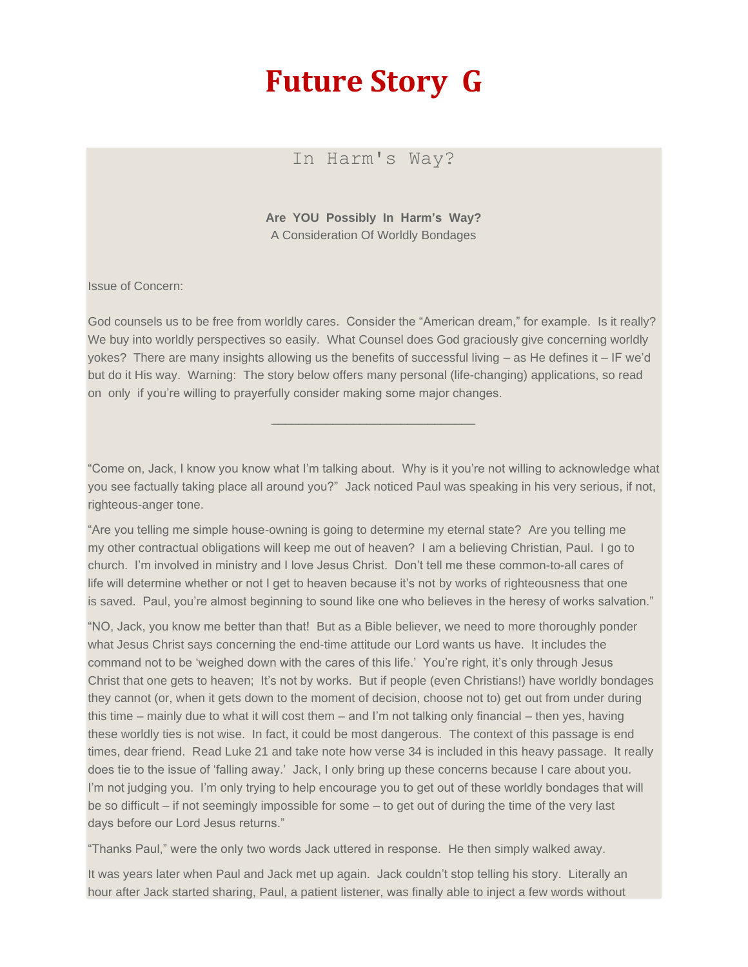## **Future Story G**

In Harm's Way?

**Are YOU Possibly In Harm's Way?** A Consideration Of Worldly Bondages

Issue of Concern:

God counsels us to be free from worldly cares. Consider the "American dream," for example. Is it really? We buy into worldly perspectives so easily. What Counsel does God graciously give concerning worldly yokes? There are many insights allowing us the benefits of successful living – as He defines it – IF we'd but do it His way. Warning: The story below offers many personal (life-changing) applications, so read on only if you're willing to prayerfully consider making some major changes.

\_\_\_\_\_\_\_\_\_\_\_\_\_\_\_\_\_\_\_\_\_\_\_\_\_\_\_\_\_\_

"Come on, Jack, I know you know what I'm talking about. Why is it you're not willing to acknowledge what you see factually taking place all around you?" Jack noticed Paul was speaking in his very serious, if not, righteous-anger tone.

"Are you telling me simple house-owning is going to determine my eternal state? Are you telling me my other contractual obligations will keep me out of heaven? I am a believing Christian, Paul. I go to church. I'm involved in ministry and I love Jesus Christ. Don't tell me these common-to-all cares of life will determine whether or not I get to heaven because it's not by works of righteousness that one is saved. Paul, you're almost beginning to sound like one who believes in the heresy of works salvation."

"NO, Jack, you know me better than that! But as a Bible believer, we need to more thoroughly ponder what Jesus Christ says concerning the end-time attitude our Lord wants us have. It includes the command not to be 'weighed down with the cares of this life.' You're right, it's only through Jesus Christ that one gets to heaven; It's not by works. But if people (even Christians!) have worldly bondages they cannot (or, when it gets down to the moment of decision, choose not to) get out from under during this time – mainly due to what it will cost them – and I'm not talking only financial – then yes, having these worldly ties is not wise. In fact, it could be most dangerous. The context of this passage is end times, dear friend. Read Luke 21 and take note how verse 34 is included in this heavy passage. It really does tie to the issue of 'falling away.' Jack, I only bring up these concerns because I care about you. I'm not judging you. I'm only trying to help encourage you to get out of these worldly bondages that will be so difficult – if not seemingly impossible for some – to get out of during the time of the very last days before our Lord Jesus returns."

"Thanks Paul," were the only two words Jack uttered in response. He then simply walked away.

It was years later when Paul and Jack met up again. Jack couldn't stop telling his story. Literally an hour after Jack started sharing, Paul, a patient listener, was finally able to inject a few words without